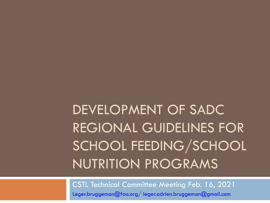# DEVELOPMENT OF SADC REGIONAL GUIDELINES FOR SCHOOL FEEDING/SCHOOL NUTRITION PROGRAMS

CSTL Technical Committee Meeting Feb. 16, 2021 Leger.bruggeman@fao.org/ leger.adrien.bruggeman@gmail.com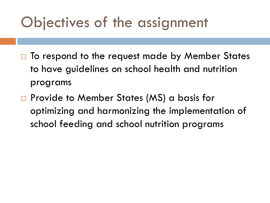#### Objectives of the assignment

- $\Box$  To respond to the request made by Member States to have guidelines on school health and nutrition programs
- □ Provide to Member States (MS) a basis for optimizing and harmonizing the implementation of school feeding and school nutrition programs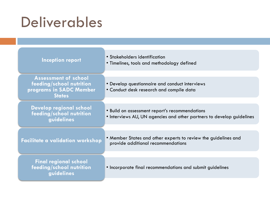### Deliverables

| <b>Inception report</b>                                                                             | • Stakeholders identification<br>• Timelines, tools and methodology defined                                             |
|-----------------------------------------------------------------------------------------------------|-------------------------------------------------------------------------------------------------------------------------|
|                                                                                                     |                                                                                                                         |
| <b>Assessment of school</b><br>feeding/school nutrition<br>programs in SADC Member<br><b>States</b> | • Develop questionnaire and conduct interviews<br>• Conduct desk research and compile data                              |
|                                                                                                     |                                                                                                                         |
| Develop regional school<br>feeding/school nutrition<br>guidelines                                   | • Build on assessment report's recommendations<br>• Interviews AU, UN agencies and other partners to develop guidelines |
|                                                                                                     |                                                                                                                         |
| <b>Facilitate a validation workshop</b>                                                             | • Member States and other experts to review the guidelines and<br>provide additional recommendations                    |
|                                                                                                     |                                                                                                                         |
| <b>Final regional school</b><br>feeding/school nutrition<br>quidelines                              | • Incorporate final recommendations and submit guidelines                                                               |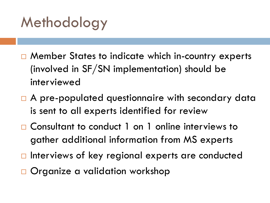## Methodology

- □ Member States to indicate which in-country experts (involved in SF/SN implementation) should be interviewed
- □ A pre-populated questionnaire with secondary data is sent to all experts identified for review
- □ Consultant to conduct 1 on 1 online interviews to gather additional information from MS experts
- $\Box$  Interviews of key regional experts are conducted
- □ Organize a validation workshop